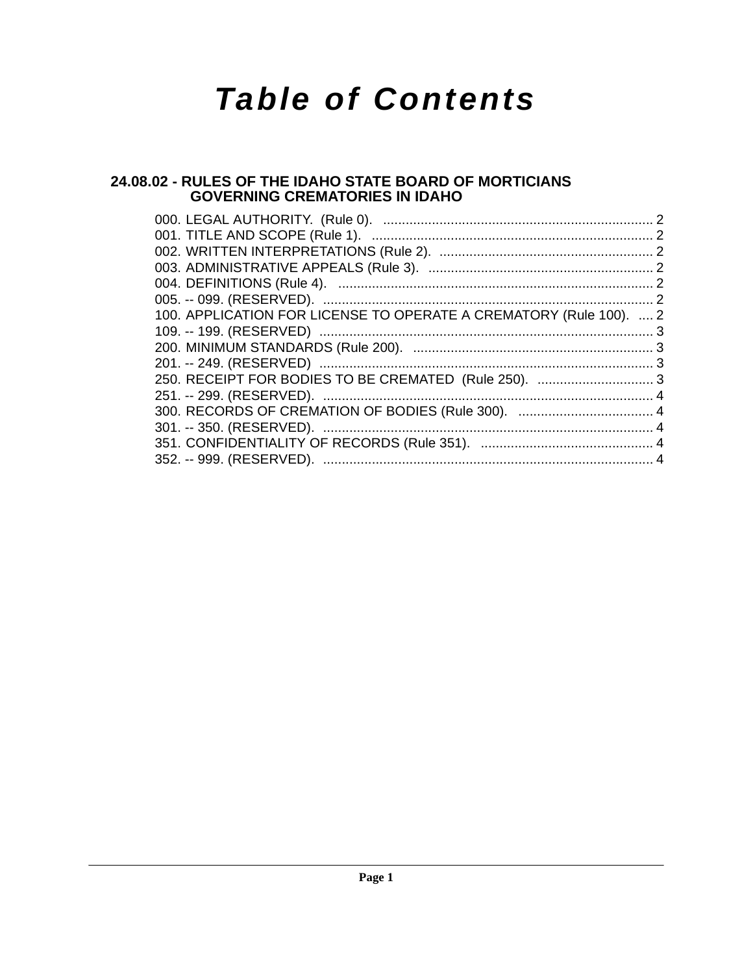# *Table of Contents*

## **[24.08.02 - RULES OF THE IDAHO STATE BOARD OF MORTICIANS](#page-1-0)  GOVERNING CREMATORIES IN IDAHO**

| 100. APPLICATION FOR LICENSE TO OPERATE A CREMATORY (Rule 100).  2 |  |
|--------------------------------------------------------------------|--|
|                                                                    |  |
|                                                                    |  |
|                                                                    |  |
| 250. RECEIPT FOR BODIES TO BE CREMATED (Rule 250).  3              |  |
|                                                                    |  |
|                                                                    |  |
|                                                                    |  |
|                                                                    |  |
|                                                                    |  |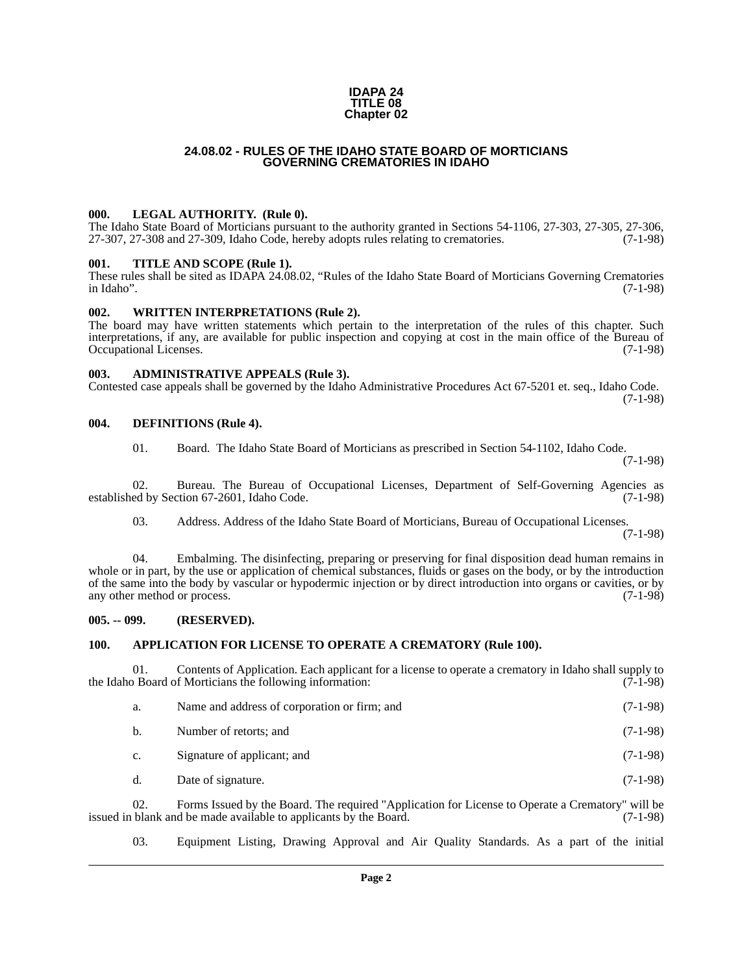### **IDAPA 24 TITLE 08 Chapter 02**

### **24.08.02 - RULES OF THE IDAHO STATE BOARD OF MORTICIANS GOVERNING CREMATORIES IN IDAHO**

### <span id="page-1-1"></span><span id="page-1-0"></span>**000. LEGAL AUTHORITY. (Rule 0).**

The Idaho State Board of Morticians pursuant to the authority granted in Sections 54-1106, 27-303, 27-305, 27-306, 27-307, 27-308 and 27-309, Idaho Code, hereby adopts rules relating to crematories. (7-1-98)

### <span id="page-1-2"></span>**001. TITLE AND SCOPE (Rule 1).**

These rules shall be sited as IDAPA 24.08.02, "Rules of the Idaho State Board of Morticians Governing Crematories in Idaho". (7-1-98)

### <span id="page-1-3"></span>**002. WRITTEN INTERPRETATIONS (Rule 2).**

The board may have written statements which pertain to the interpretation of the rules of this chapter. Such interpretations, if any, are available for public inspection and copying at cost in the main office of the Bureau of Occupational Licenses.

### <span id="page-1-4"></span>**003. ADMINISTRATIVE APPEALS (Rule 3).**

Contested case appeals shall be governed by the Idaho Administrative Procedures Act 67-5201 et. seq., Idaho Code. (7-1-98)

### <span id="page-1-5"></span>**004. DEFINITIONS (Rule 4).**

01. Board. The Idaho State Board of Morticians as prescribed in Section 54-1102, Idaho Code.

(7-1-98)

02. Bureau. The Bureau of Occupational Licenses, Department of Self-Governing Agencies as ed by Section 67-2601, Idaho Code. (7-1-98) established by Section 67-2601, Idaho Code.

03. Address. Address of the Idaho State Board of Morticians, Bureau of Occupational Licenses.

(7-1-98)

04. Embalming. The disinfecting, preparing or preserving for final disposition dead human remains in whole or in part, by the use or application of chemical substances, fluids or gases on the body, or by the introduction of the same into the body by vascular or hypodermic injection or by direct introduction into organs or cavities, or by any other method or process. (7-1-98) any other method or process.

### <span id="page-1-6"></span>**005. -- 099. (RESERVED).**

### <span id="page-1-7"></span>**100. APPLICATION FOR LICENSE TO OPERATE A CREMATORY (Rule 100).**

Contents of Application. Each applicant for a license to operate a crematory in Idaho shall supply to f Morticians the following information: (7-1-98) the Idaho Board of Morticians the following information:

| a. | Name and address of corporation or firm; and | $(7-1-98)$ |
|----|----------------------------------------------|------------|
| b. | Number of retorts; and                       | $(7-1-98)$ |
| c. | Signature of applicant; and                  | $(7-1-98)$ |
| d. | Date of signature.                           | $(7-1-98)$ |

02. Forms Issued by the Board. The required "Application for License to Operate a Crematory" will be blank and be made available to applicants by the Board. issued in blank and be made available to applicants by the Board.

03. Equipment Listing, Drawing Approval and Air Quality Standards. As a part of the initial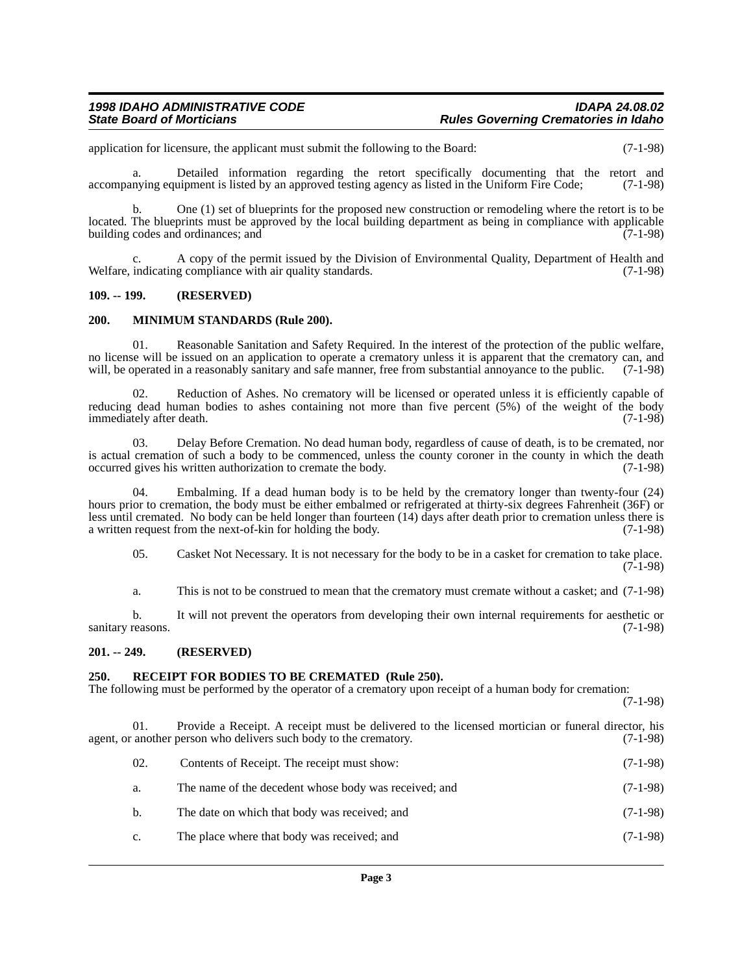### *1998 IDAHO ADMINISTRATIVE CODE IDAPA 24.08.02 State Board of Morticians Rules Governing Crematories in Idaho*

application for licensure, the applicant must submit the following to the Board: (7-1-98)

a. Detailed information regarding the retort specifically documenting that the retort and accompanying equipment is listed by an approved testing agency as listed in the Uniform Fire Code; (7-1-98)

b. One (1) set of blueprints for the proposed new construction or remodeling where the retort is to be located. The blueprints must be approved by the local building department as being in compliance with applicable building codes and ordinances; and  $(7-1-98)$ 

A copy of the permit issued by the Division of Environmental Quality, Department of Health and g compliance with air quality standards. (7-1-98) Welfare, indicating compliance with air quality standards.

### <span id="page-2-0"></span>**109. -- 199. (RESERVED)**

### <span id="page-2-1"></span>**200. MINIMUM STANDARDS (Rule 200).**

01. Reasonable Sanitation and Safety Required. In the interest of the protection of the public welfare, no license will be issued on an application to operate a crematory unless it is apparent that the crematory can, and will, be operated in a reasonably sanitary and safe manner, free from substantial annoyance to the public. (7-1-98)

02. Reduction of Ashes. No crematory will be licensed or operated unless it is efficiently capable of reducing dead human bodies to ashes containing not more than five percent (5%) of the weight of the body immediately after death. (7-1-98) immediately after death.

03. Delay Before Cremation. No dead human body, regardless of cause of death, is to be cremated, nor is actual cremation of such a body to be commenced, unless the county coroner in the county in which the death occurred gives his written authorization to cremate the body. (7-1-98) occurred gives his written authorization to cremate the body.

Embalming. If a dead human body is to be held by the crematory longer than twenty-four (24) hours prior to cremation, the body must be either embalmed or refrigerated at thirty-six degrees Fahrenheit (36F) or less until cremated. No body can be held longer than fourteen (14) days after death prior to cremation unless there is a written request from the next-of-kin for holding the body. (7-1-98) a written request from the next-of-kin for holding the body.

05. Casket Not Necessary. It is not necessary for the body to be in a casket for cremation to take place.  $(7-1-98)$ 

a. This is not to be construed to mean that the crematory must cremate without a casket; and (7-1-98)

b. It will not prevent the operators from developing their own internal requirements for aesthetic or reasons. (7-1-98) sanitary reasons.

### <span id="page-2-2"></span>**201. -- 249. (RESERVED)**

### <span id="page-2-3"></span>**250. RECEIPT FOR BODIES TO BE CREMATED (Rule 250).**

The following must be performed by the operator of a crematory upon receipt of a human body for cremation:

(7-1-98)

01. Provide a Receipt. A receipt must be delivered to the licensed mortician or funeral director, his agent, or another person who delivers such body to the crematory. (7-1-98)

| 02. | Contents of Receipt. The receipt must show:           | $(7-1-98)$ |
|-----|-------------------------------------------------------|------------|
| a.  | The name of the decedent whose body was received; and | $(7-1-98)$ |
| b.  | The date on which that body was received; and         | $(7-1-98)$ |
| C.  | The place where that body was received; and           | $(7-1-98)$ |